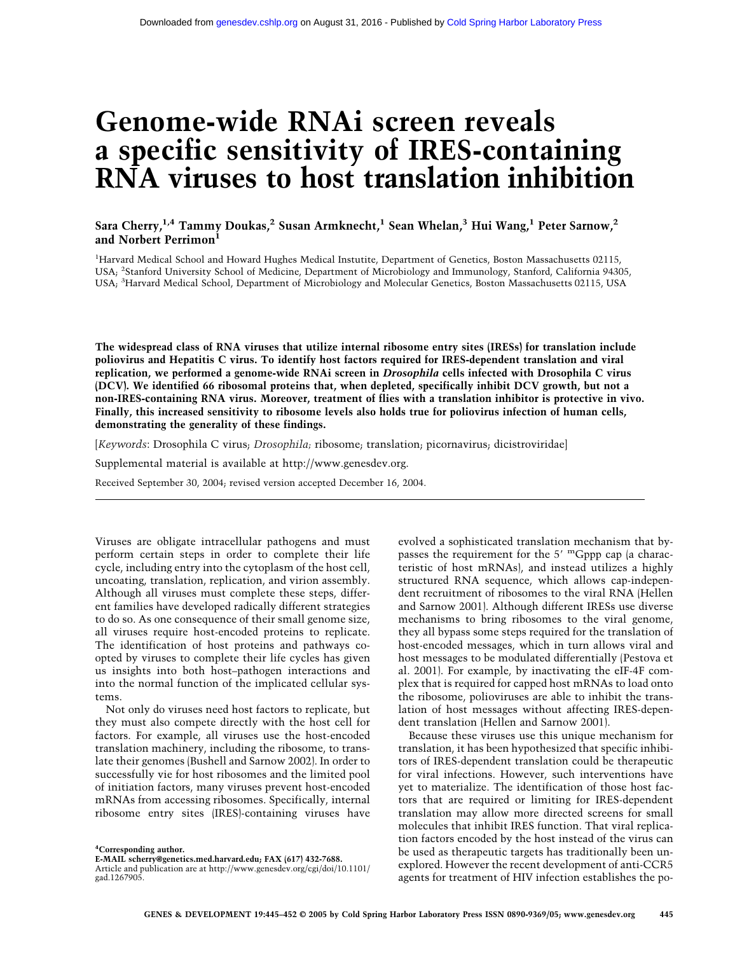# **Genome-wide RNAi screen reveals a specific sensitivity of IRES-containing RNA viruses to host translation inhibition**

**Sara Cherry,1,4 Tammy Doukas,2 Susan Armknecht,1 Sean Whelan,3 Hui Wang,1 Peter Sarnow,2** and Norbert Perrimon<sup>1</sup>

<sup>1</sup>Harvard Medical School and Howard Hughes Medical Instutite, Department of Genetics, Boston Massachusetts 02115, USA; <sup>2</sup> Stanford University School of Medicine, Department of Microbiology and Immunology, Stanford, California 94305, USA; <sup>3</sup>Harvard Medical School, Department of Microbiology and Molecular Genetics, Boston Massachusetts 02115, USA

**The widespread class of RNA viruses that utilize internal ribosome entry sites (IRESs) for translation include poliovirus and Hepatitis C virus. To identify host factors required for IRES-dependent translation and viral replication, we performed a genome-wide RNAi screen in** *Drosophila* **cells infected with Drosophila C virus (DCV). We identified 66 ribosomal proteins that, when depleted, specifically inhibit DCV growth, but not a non-IRES-containing RNA virus. Moreover, treatment of flies with a translation inhibitor is protective in vivo. Finally, this increased sensitivity to ribosome levels also holds true for poliovirus infection of human cells, demonstrating the generality of these findings.**

[*Keywords*: Drosophila C virus; *Drosophila;* ribosome; translation; picornavirus; dicistroviridae]

Supplemental material is available at http://www.genesdev.org.

Received September 30, 2004; revised version accepted December 16, 2004.

Viruses are obligate intracellular pathogens and must perform certain steps in order to complete their life cycle, including entry into the cytoplasm of the host cell, uncoating, translation, replication, and virion assembly. Although all viruses must complete these steps, different families have developed radically different strategies to do so. As one consequence of their small genome size, all viruses require host-encoded proteins to replicate. The identification of host proteins and pathways coopted by viruses to complete their life cycles has given us insights into both host–pathogen interactions and into the normal function of the implicated cellular systems.

Not only do viruses need host factors to replicate, but they must also compete directly with the host cell for factors. For example, all viruses use the host-encoded translation machinery, including the ribosome, to translate their genomes (Bushell and Sarnow 2002). In order to successfully vie for host ribosomes and the limited pool of initiation factors, many viruses prevent host-encoded mRNAs from accessing ribosomes. Specifically, internal ribosome entry sites (IRES)-containing viruses have

**4 Corresponding author.**

evolved a sophisticated translation mechanism that bypasses the requirement for the  $5'$  mGppp cap (a characteristic of host mRNAs), and instead utilizes a highly structured RNA sequence, which allows cap-independent recruitment of ribosomes to the viral RNA (Hellen and Sarnow 2001). Although different IRESs use diverse mechanisms to bring ribosomes to the viral genome, they all bypass some steps required for the translation of host-encoded messages, which in turn allows viral and host messages to be modulated differentially (Pestova et al. 2001). For example, by inactivating the eIF-4F complex that is required for capped host mRNAs to load onto the ribosome, polioviruses are able to inhibit the translation of host messages without affecting IRES-dependent translation (Hellen and Sarnow 2001).

Because these viruses use this unique mechanism for translation, it has been hypothesized that specific inhibitors of IRES-dependent translation could be therapeutic for viral infections. However, such interventions have yet to materialize. The identification of those host factors that are required or limiting for IRES-dependent translation may allow more directed screens for small molecules that inhibit IRES function. That viral replication factors encoded by the host instead of the virus can be used as therapeutic targets has traditionally been unexplored. However the recent development of anti-CCR5 agents for treatment of HIV infection establishes the po-

**E-MAIL scherry@genetics.med.harvard.edu; FAX (617) 432-7688.**

Article and publication are at http://www.genesdev.org/cgi/doi/10.1101/ gad.1267905.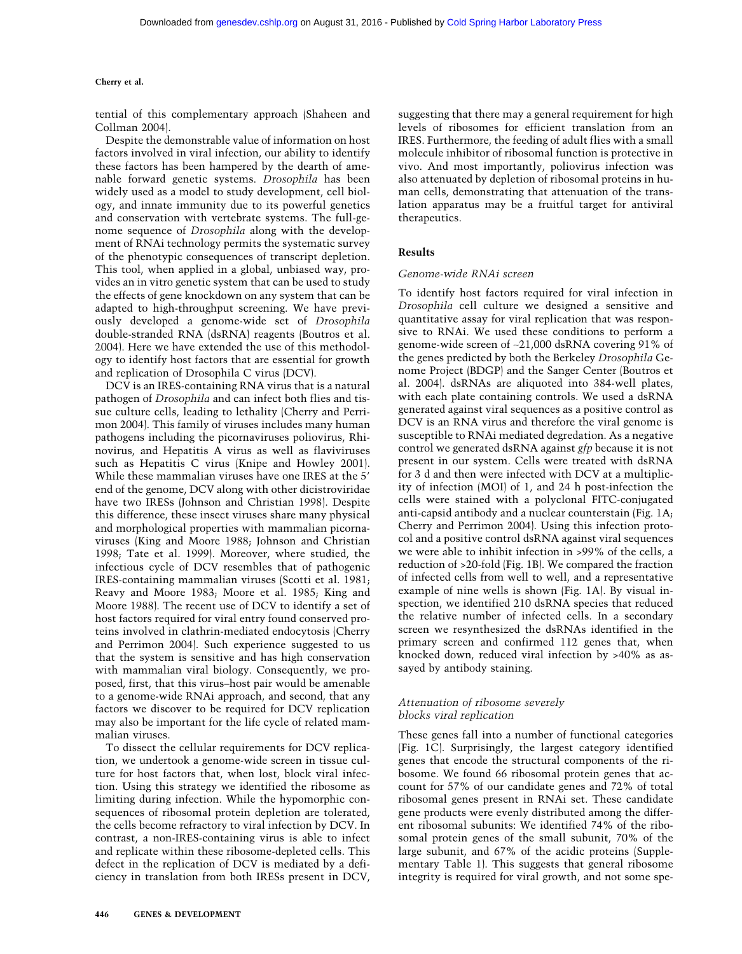tential of this complementary approach (Shaheen and Collman 2004).

Despite the demonstrable value of information on host factors involved in viral infection, our ability to identify these factors has been hampered by the dearth of amenable forward genetic systems. *Drosophila* has been widely used as a model to study development, cell biology, and innate immunity due to its powerful genetics and conservation with vertebrate systems. The full-genome sequence of *Drosophila* along with the development of RNAi technology permits the systematic survey of the phenotypic consequences of transcript depletion. This tool, when applied in a global, unbiased way, provides an in vitro genetic system that can be used to study the effects of gene knockdown on any system that can be adapted to high-throughput screening. We have previously developed a genome-wide set of *Drosophila* double-stranded RNA (dsRNA) reagents (Boutros et al. 2004). Here we have extended the use of this methodology to identify host factors that are essential for growth and replication of Drosophila C virus (DCV).

DCV is an IRES-containing RNA virus that is a natural pathogen of *Drosophila* and can infect both flies and tissue culture cells, leading to lethality (Cherry and Perrimon 2004). This family of viruses includes many human pathogens including the picornaviruses poliovirus, Rhinovirus, and Hepatitis A virus as well as flaviviruses such as Hepatitis C virus (Knipe and Howley 2001). While these mammalian viruses have one IRES at the 5 end of the genome, DCV along with other dicistroviridae have two IRESs (Johnson and Christian 1998). Despite this difference, these insect viruses share many physical and morphological properties with mammalian picornaviruses (King and Moore 1988; Johnson and Christian 1998; Tate et al. 1999). Moreover, where studied, the infectious cycle of DCV resembles that of pathogenic IRES-containing mammalian viruses (Scotti et al. 1981; Reavy and Moore 1983; Moore et al. 1985; King and Moore 1988). The recent use of DCV to identify a set of host factors required for viral entry found conserved proteins involved in clathrin-mediated endocytosis (Cherry and Perrimon 2004). Such experience suggested to us that the system is sensitive and has high conservation with mammalian viral biology. Consequently, we proposed, first, that this virus–host pair would be amenable to a genome-wide RNAi approach, and second, that any factors we discover to be required for DCV replication may also be important for the life cycle of related mammalian viruses.

To dissect the cellular requirements for DCV replication, we undertook a genome-wide screen in tissue culture for host factors that, when lost, block viral infection. Using this strategy we identified the ribosome as limiting during infection. While the hypomorphic consequences of ribosomal protein depletion are tolerated, the cells become refractory to viral infection by DCV. In contrast, a non-IRES-containing virus is able to infect and replicate within these ribosome-depleted cells. This defect in the replication of DCV is mediated by a deficiency in translation from both IRESs present in DCV, suggesting that there may a general requirement for high levels of ribosomes for efficient translation from an IRES. Furthermore, the feeding of adult flies with a small molecule inhibitor of ribosomal function is protective in vivo. And most importantly, poliovirus infection was also attenuated by depletion of ribosomal proteins in human cells, demonstrating that attenuation of the translation apparatus may be a fruitful target for antiviral therapeutics.

#### **Results**

#### *Genome-wide RNAi screen*

To identify host factors required for viral infection in *Drosophila* cell culture we designed a sensitive and quantitative assay for viral replication that was responsive to RNAi. We used these conditions to perform a genome-wide screen of ∼21,000 dsRNA covering 91% of the genes predicted by both the Berkeley *Drosophila* Genome Project (BDGP) and the Sanger Center (Boutros et al. 2004). dsRNAs are aliquoted into 384-well plates, with each plate containing controls. We used a dsRNA generated against viral sequences as a positive control as DCV is an RNA virus and therefore the viral genome is susceptible to RNAi mediated degredation. As a negative control we generated dsRNA against *gfp* because it is not present in our system. Cells were treated with dsRNA for 3 d and then were infected with DCV at a multiplicity of infection (MOI) of 1, and 24 h post-infection the cells were stained with a polyclonal FITC-conjugated anti-capsid antibody and a nuclear counterstain (Fig. 1A; Cherry and Perrimon 2004). Using this infection protocol and a positive control dsRNA against viral sequences we were able to inhibit infection in >99% of the cells, a reduction of >20-fold (Fig. 1B). We compared the fraction of infected cells from well to well, and a representative example of nine wells is shown (Fig. 1A). By visual inspection, we identified 210 dsRNA species that reduced the relative number of infected cells. In a secondary screen we resynthesized the dsRNAs identified in the primary screen and confirmed 112 genes that, when knocked down, reduced viral infection by >40% as assayed by antibody staining.

## *Attenuation of ribosome severely blocks viral replication*

These genes fall into a number of functional categories (Fig. 1C). Surprisingly, the largest category identified genes that encode the structural components of the ribosome. We found 66 ribosomal protein genes that account for 57% of our candidate genes and 72% of total ribosomal genes present in RNAi set. These candidate gene products were evenly distributed among the different ribosomal subunits: We identified 74% of the ribosomal protein genes of the small subunit, 70% of the large subunit, and 67% of the acidic proteins (Supplementary Table 1). This suggests that general ribosome integrity is required for viral growth, and not some spe-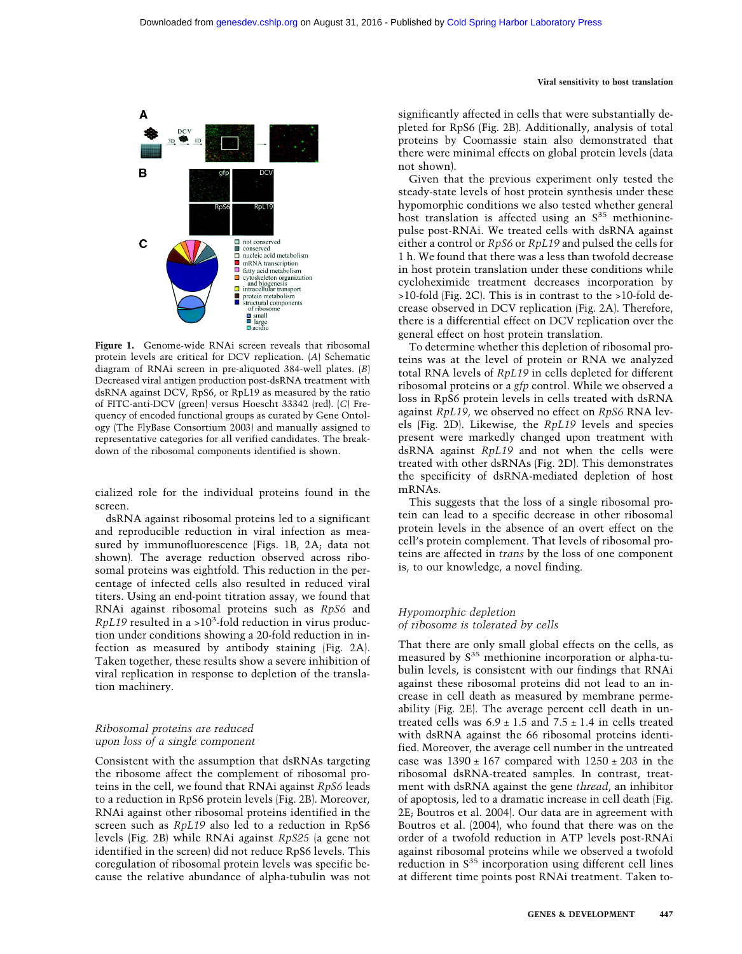#### **Viral sensitivity to host translation**



**Figure 1.** Genome-wide RNAi screen reveals that ribosomal protein levels are critical for DCV replication. (*A*) Schematic diagram of RNAi screen in pre-aliquoted 384-well plates. (*B*) Decreased viral antigen production post-dsRNA treatment with dsRNA against DCV, RpS6, or RpL19 as measured by the ratio of FITC-anti-DCV (green) versus Hoescht 33342 (red). (*C*) Frequency of encoded functional groups as curated by Gene Ontology (The FlyBase Consortium 2003) and manually assigned to representative categories for all verified candidates. The breakdown of the ribosomal components identified is shown.

cialized role for the individual proteins found in the screen.

dsRNA against ribosomal proteins led to a significant and reproducible reduction in viral infection as measured by immunofluorescence (Figs. 1B, 2A; data not shown). The average reduction observed across ribosomal proteins was eightfold. This reduction in the percentage of infected cells also resulted in reduced viral titers. Using an end-point titration assay, we found that RNAi against ribosomal proteins such as *RpS6* and RpL19 resulted in a >10<sup>3</sup>-fold reduction in virus production under conditions showing a 20-fold reduction in infection as measured by antibody staining (Fig. 2A). Taken together, these results show a severe inhibition of viral replication in response to depletion of the translation machinery.

# *Ribosomal proteins are reduced upon loss of a single component*

Consistent with the assumption that dsRNAs targeting the ribosome affect the complement of ribosomal proteins in the cell, we found that RNAi against *RpS6* leads to a reduction in RpS6 protein levels (Fig. 2B). Moreover, RNAi against other ribosomal proteins identified in the screen such as *RpL19* also led to a reduction in RpS6 levels (Fig. 2B) while RNAi against *RpS25* (a gene not identified in the screen) did not reduce RpS6 levels. This coregulation of ribosomal protein levels was specific because the relative abundance of alpha-tubulin was not significantly affected in cells that were substantially depleted for RpS6 (Fig. 2B). Additionally, analysis of total proteins by Coomassie stain also demonstrated that there were minimal effects on global protein levels (data not shown).

Given that the previous experiment only tested the steady-state levels of host protein synthesis under these hypomorphic conditions we also tested whether general host translation is affected using an  $S<sup>35</sup>$  methioninepulse post-RNAi. We treated cells with dsRNA against either a control or *RpS6* or *RpL19* and pulsed the cells for 1 h. We found that there was a less than twofold decrease in host protein translation under these conditions while cycloheximide treatment decreases incorporation by >10-fold (Fig. 2C). This is in contrast to the >10-fold decrease observed in DCV replication (Fig. 2A). Therefore, there is a differential effect on DCV replication over the general effect on host protein translation.

To determine whether this depletion of ribosomal proteins was at the level of protein or RNA we analyzed total RNA levels of *RpL19* in cells depleted for different ribosomal proteins or a *gfp* control. While we observed a loss in RpS6 protein levels in cells treated with dsRNA against *RpL19*, we observed no effect on *RpS6* RNA levels (Fig. 2D). Likewise, the *RpL19* levels and species present were markedly changed upon treatment with dsRNA against *RpL19* and not when the cells were treated with other dsRNAs (Fig. 2D). This demonstrates the specificity of dsRNA-mediated depletion of host mRNAs.

This suggests that the loss of a single ribosomal protein can lead to a specific decrease in other ribosomal protein levels in the absence of an overt effect on the cell's protein complement. That levels of ribosomal proteins are affected in *trans* by the loss of one component is, to our knowledge, a novel finding.

# *Hypomorphic depletion*

*of ribosome is tolerated by cells*

That there are only small global effects on the cells, as measured by  $S^{35}$  methionine incorporation or alpha-tubulin levels, is consistent with our findings that RNAi against these ribosomal proteins did not lead to an increase in cell death as measured by membrane permeability (Fig. 2E). The average percent cell death in untreated cells was  $6.9 \pm 1.5$  and  $7.5 \pm 1.4$  in cells treated with dsRNA against the 66 ribosomal proteins identified. Moreover, the average cell number in the untreated case was  $1390 \pm 167$  compared with  $1250 \pm 203$  in the ribosomal dsRNA-treated samples. In contrast, treatment with dsRNA against the gene *thread*, an inhibitor of apoptosis, led to a dramatic increase in cell death (Fig. 2E; Boutros et al. 2004). Our data are in agreement with Boutros et al. (2004), who found that there was on the order of a twofold reduction in ATP levels post-RNAi against ribosomal proteins while we observed a twofold reduction in  $S^{35}$  incorporation using different cell lines at different time points post RNAi treatment. Taken to-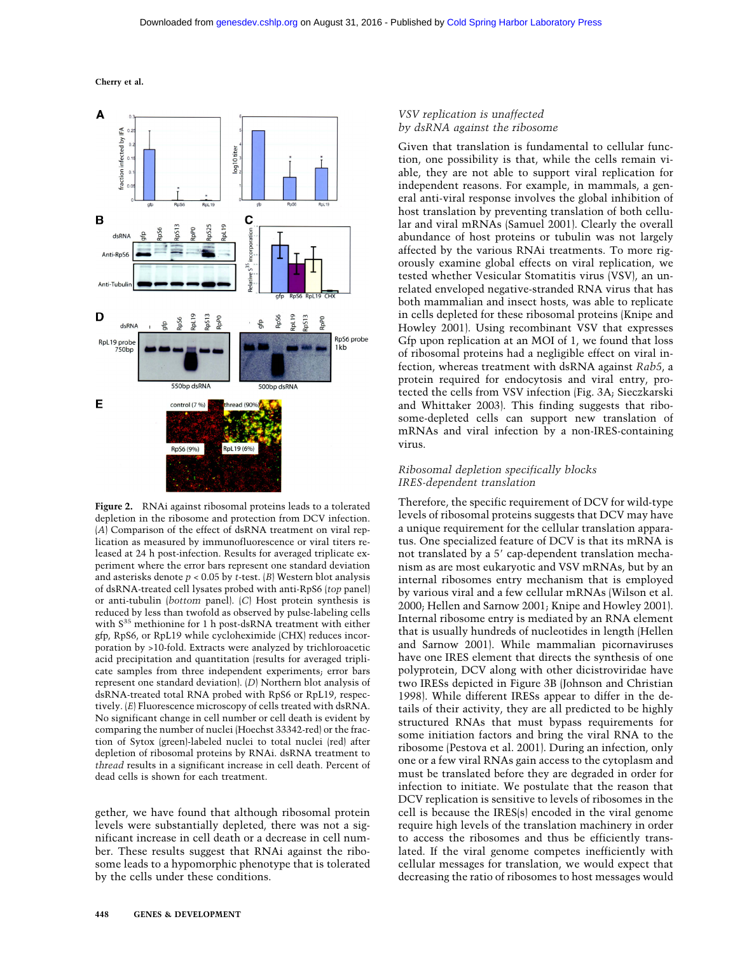

**Figure 2.** RNAi against ribosomal proteins leads to a tolerated depletion in the ribosome and protection from DCV infection. (*A*) Comparison of the effect of dsRNA treatment on viral replication as measured by immunofluorescence or viral titers released at 24 h post-infection. Results for averaged triplicate experiment where the error bars represent one standard deviation and asterisks denote *p* < 0.05 by *t*-test. (*B*) Western blot analysis of dsRNA-treated cell lysates probed with anti-RpS6 (*top* panel) or anti-tubulin (*bottom* panel). (*C*) Host protein synthesis is reduced by less than twofold as observed by pulse-labeling cells with  $S^{35}$  methionine for 1 h post-dsRNA treatment with either gfp, RpS6, or RpL19 while cycloheximide (CHX) reduces incorporation by >10-fold. Extracts were analyzed by trichloroacetic acid precipitation and quantitation (results for averaged triplicate samples from three independent experiments; error bars represent one standard deviation). (*D*) Northern blot analysis of dsRNA-treated total RNA probed with RpS6 or RpL19, respectively. (*E*) Fluorescence microscopy of cells treated with dsRNA. No significant change in cell number or cell death is evident by comparing the number of nuclei (Hoechst 33342-red) or the fraction of Sytox (green)-labeled nuclei to total nuclei (red) after depletion of ribosomal proteins by RNAi. dsRNA treatment to *thread* results in a significant increase in cell death. Percent of dead cells is shown for each treatment.

gether, we have found that although ribosomal protein levels were substantially depleted, there was not a significant increase in cell death or a decrease in cell number. These results suggest that RNAi against the ribosome leads to a hypomorphic phenotype that is tolerated by the cells under these conditions.

# *VSV replication is unaffected by dsRNA against the ribosome*

Given that translation is fundamental to cellular function, one possibility is that, while the cells remain viable, they are not able to support viral replication for independent reasons. For example, in mammals, a general anti-viral response involves the global inhibition of host translation by preventing translation of both cellular and viral mRNAs (Samuel 2001). Clearly the overall abundance of host proteins or tubulin was not largely affected by the various RNAi treatments. To more rigorously examine global effects on viral replication, we tested whether Vesicular Stomatitis virus (VSV), an unrelated enveloped negative-stranded RNA virus that has both mammalian and insect hosts, was able to replicate in cells depleted for these ribosomal proteins (Knipe and Howley 2001). Using recombinant VSV that expresses Gfp upon replication at an MOI of 1, we found that loss of ribosomal proteins had a negligible effect on viral infection, whereas treatment with dsRNA against *Rab5*, a protein required for endocytosis and viral entry, protected the cells from VSV infection (Fig. 3A; Sieczkarski and Whittaker 2003). This finding suggests that ribosome-depleted cells can support new translation of mRNAs and viral infection by a non-IRES-containing virus.

# *Ribosomal depletion specifically blocks IRES-dependent translation*

Therefore, the specific requirement of DCV for wild-type levels of ribosomal proteins suggests that DCV may have a unique requirement for the cellular translation apparatus. One specialized feature of DCV is that its mRNA is not translated by a 5' cap-dependent translation mechanism as are most eukaryotic and VSV mRNAs, but by an internal ribosomes entry mechanism that is employed by various viral and a few cellular mRNAs (Wilson et al. 2000; Hellen and Sarnow 2001; Knipe and Howley 2001). Internal ribosome entry is mediated by an RNA element that is usually hundreds of nucleotides in length (Hellen and Sarnow 2001). While mammalian picornaviruses have one IRES element that directs the synthesis of one polyprotein, DCV along with other dicistroviridae have two IRESs depicted in Figure 3B (Johnson and Christian 1998). While different IRESs appear to differ in the details of their activity, they are all predicted to be highly structured RNAs that must bypass requirements for some initiation factors and bring the viral RNA to the ribosome (Pestova et al. 2001). During an infection, only one or a few viral RNAs gain access to the cytoplasm and must be translated before they are degraded in order for infection to initiate. We postulate that the reason that DCV replication is sensitive to levels of ribosomes in the cell is because the IRES(s) encoded in the viral genome require high levels of the translation machinery in order to access the ribosomes and thus be efficiently translated. If the viral genome competes inefficiently with cellular messages for translation, we would expect that decreasing the ratio of ribosomes to host messages would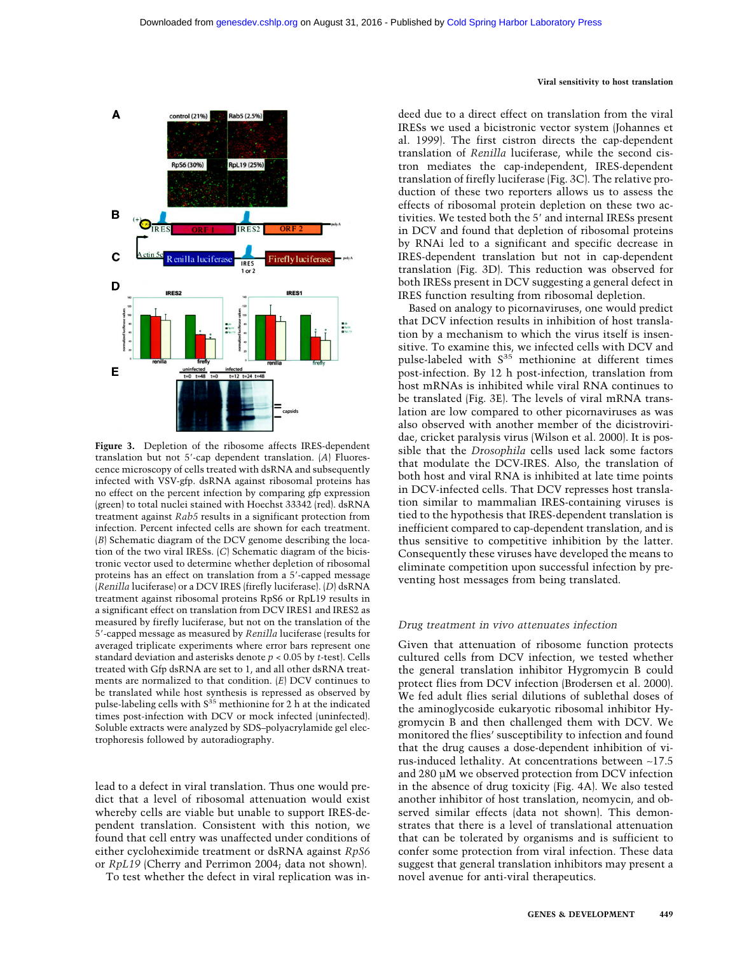



**Figure 3.** Depletion of the ribosome affects IRES-dependent translation but not 5'-cap dependent translation. (A) Fluorescence microscopy of cells treated with dsRNA and subsequently infected with VSV-gfp. dsRNA against ribosomal proteins has no effect on the percent infection by comparing gfp expression (green) to total nuclei stained with Hoechst 33342 (red). dsRNA treatment against *Rab5* results in a significant protection from infection. Percent infected cells are shown for each treatment. (*B*) Schematic diagram of the DCV genome describing the location of the two viral IRESs. (*C*) Schematic diagram of the bicistronic vector used to determine whether depletion of ribosomal proteins has an effect on translation from a 5'-capped message (*Renilla* luciferase) or a DCV IRES (firefly luciferase). (*D*) dsRNA treatment against ribosomal proteins RpS6 or RpL19 results in a significant effect on translation from DCV IRES1 and IRES2 as measured by firefly luciferase, but not on the translation of the 5-capped message as measured by *Renilla* luciferase (results for averaged triplicate experiments where error bars represent one standard deviation and asterisks denote *p* < 0.05 by *t*-test). Cells treated with Gfp dsRNA are set to 1, and all other dsRNA treatments are normalized to that condition. (*E*) DCV continues to be translated while host synthesis is repressed as observed by pulse-labeling cells with  $S^{35}$  methionine for 2 h at the indicated times post-infection with DCV or mock infected (uninfected). Soluble extracts were analyzed by SDS–polyacrylamide gel electrophoresis followed by autoradiography.

lead to a defect in viral translation. Thus one would predict that a level of ribosomal attenuation would exist whereby cells are viable but unable to support IRES-dependent translation. Consistent with this notion, we found that cell entry was unaffected under conditions of either cycloheximide treatment or dsRNA against *RpS6* or *RpL19* (Cherry and Perrimon 2004; data not shown).

To test whether the defect in viral replication was in-

deed due to a direct effect on translation from the viral IRESs we used a bicistronic vector system (Johannes et al. 1999). The first cistron directs the cap-dependent translation of *Renilla* luciferase, while the second cistron mediates the cap-independent, IRES-dependent translation of firefly luciferase (Fig. 3C). The relative production of these two reporters allows us to assess the effects of ribosomal protein depletion on these two activities. We tested both the 5' and internal IRESs present in DCV and found that depletion of ribosomal proteins by RNAi led to a significant and specific decrease in IRES-dependent translation but not in cap-dependent translation (Fig. 3D). This reduction was observed for both IRESs present in DCV suggesting a general defect in IRES function resulting from ribosomal depletion.

Based on analogy to picornaviruses, one would predict that DCV infection results in inhibition of host translation by a mechanism to which the virus itself is insensitive. To examine this, we infected cells with DCV and pulse-labeled with  $S^{35}$  methionine at different times post-infection. By 12 h post-infection, translation from host mRNAs is inhibited while viral RNA continues to be translated (Fig. 3E). The levels of viral mRNA translation are low compared to other picornaviruses as was also observed with another member of the dicistroviridae, cricket paralysis virus (Wilson et al. 2000). It is possible that the *Drosophila* cells used lack some factors that modulate the DCV-IRES. Also, the translation of both host and viral RNA is inhibited at late time points in DCV-infected cells. That DCV represses host translation similar to mammalian IRES-containing viruses is tied to the hypothesis that IRES-dependent translation is inefficient compared to cap-dependent translation, and is thus sensitive to competitive inhibition by the latter. Consequently these viruses have developed the means to eliminate competition upon successful infection by preventing host messages from being translated.

#### *Drug treatment in vivo attenuates infection*

Given that attenuation of ribosome function protects cultured cells from DCV infection, we tested whether the general translation inhibitor Hygromycin B could protect flies from DCV infection (Brodersen et al. 2000). We fed adult flies serial dilutions of sublethal doses of the aminoglycoside eukaryotic ribosomal inhibitor Hygromycin B and then challenged them with DCV. We monitored the flies' susceptibility to infection and found that the drug causes a dose-dependent inhibition of virus-induced lethality. At concentrations between ∼17.5 and 280 µM we observed protection from DCV infection in the absence of drug toxicity (Fig. 4A). We also tested another inhibitor of host translation, neomycin, and observed similar effects (data not shown). This demonstrates that there is a level of translational attenuation that can be tolerated by organisms and is sufficient to confer some protection from viral infection. These data suggest that general translation inhibitors may present a novel avenue for anti-viral therapeutics.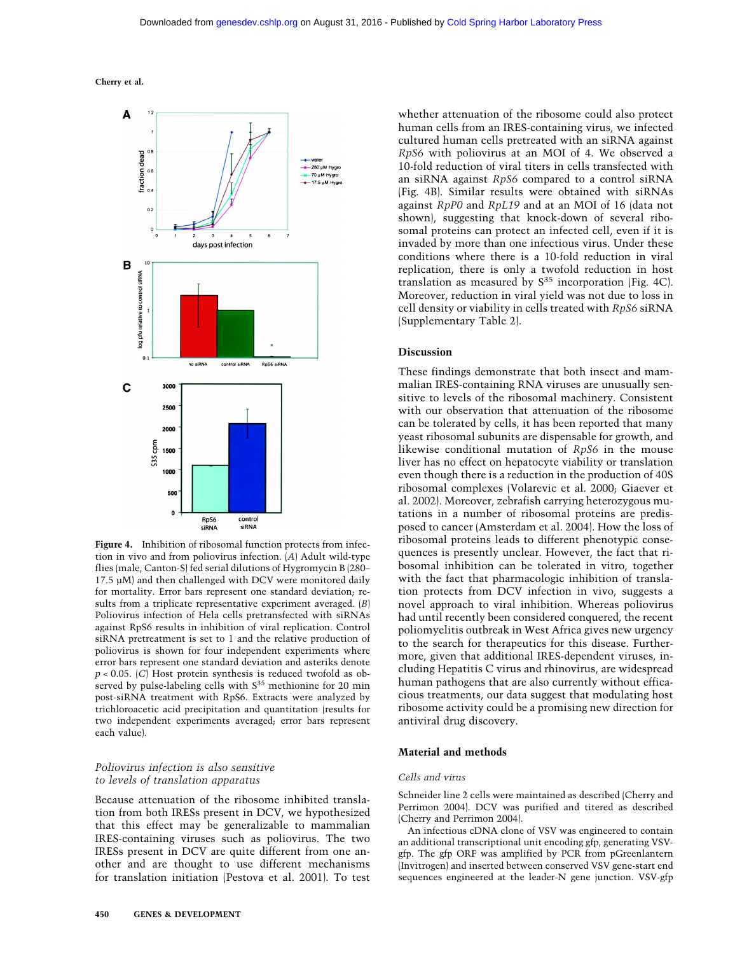

**Figure 4.** Inhibition of ribosomal function protects from infection in vivo and from poliovirus infection. (*A*) Adult wild-type flies (male, Canton-S) fed serial dilutions of Hygromycin B (280– 17.5 µM) and then challenged with DCV were monitored daily for mortality. Error bars represent one standard deviation; results from a triplicate representative experiment averaged. (*B*) Poliovirus infection of Hela cells pretransfected with siRNAs against RpS6 results in inhibition of viral replication. Control siRNA pretreatment is set to 1 and the relative production of poliovirus is shown for four independent experiments where error bars represent one standard deviation and asteriks denote *p* < 0.05. (*C*) Host protein synthesis is reduced twofold as observed by pulse-labeling cells with S<sup>35</sup> methionine for 20 min post-siRNA treatment with RpS6. Extracts were analyzed by trichloroacetic acid precipitation and quantitation (results for two independent experiments averaged; error bars represent each value).

# *Poliovirus infection is also sensitive to levels of translation apparatus*

Because attenuation of the ribosome inhibited translation from both IRESs present in DCV, we hypothesized that this effect may be generalizable to mammalian IRES-containing viruses such as poliovirus. The two IRESs present in DCV are quite different from one another and are thought to use different mechanisms for translation initiation (Pestova et al. 2001). To test whether attenuation of the ribosome could also protect human cells from an IRES-containing virus, we infected cultured human cells pretreated with an siRNA against *RpS6* with poliovirus at an MOI of 4. We observed a 10-fold reduction of viral titers in cells transfected with an siRNA against *RpS6* compared to a control siRNA (Fig. 4B). Similar results were obtained with siRNAs against *RpP0* and *RpL19* and at an MOI of 16 (data not shown), suggesting that knock-down of several ribosomal proteins can protect an infected cell, even if it is invaded by more than one infectious virus. Under these conditions where there is a 10-fold reduction in viral replication, there is only a twofold reduction in host translation as measured by  $S^{35}$  incorporation (Fig. 4C). Moreover, reduction in viral yield was not due to loss in cell density or viability in cells treated with *RpS6* siRNA (Supplementary Table 2).

# **Discussion**

These findings demonstrate that both insect and mammalian IRES-containing RNA viruses are unusually sensitive to levels of the ribosomal machinery. Consistent with our observation that attenuation of the ribosome can be tolerated by cells, it has been reported that many yeast ribosomal subunits are dispensable for growth, and likewise conditional mutation of *RpS6* in the mouse liver has no effect on hepatocyte viability or translation even though there is a reduction in the production of 40S ribosomal complexes (Volarevic et al. 2000; Giaever et al. 2002). Moreover, zebrafish carrying heterozygous mutations in a number of ribosomal proteins are predisposed to cancer (Amsterdam et al. 2004). How the loss of ribosomal proteins leads to different phenotypic consequences is presently unclear. However, the fact that ribosomal inhibition can be tolerated in vitro, together with the fact that pharmacologic inhibition of translation protects from DCV infection in vivo, suggests a novel approach to viral inhibition. Whereas poliovirus had until recently been considered conquered, the recent poliomyelitis outbreak in West Africa gives new urgency to the search for therapeutics for this disease. Furthermore, given that additional IRES-dependent viruses, including Hepatitis C virus and rhinovirus, are widespread human pathogens that are also currently without efficacious treatments, our data suggest that modulating host ribosome activity could be a promising new direction for antiviral drug discovery.

## **Material and methods**

#### *Cells and virus*

Schneider line 2 cells were maintained as described (Cherry and Perrimon 2004). DCV was purified and titered as described (Cherry and Perrimon 2004).

An infectious cDNA clone of VSV was engineered to contain an additional transcriptional unit encoding gfp, generating VSVgfp. The gfp ORF was amplified by PCR from pGreenlantern (Invitrogen) and inserted between conserved VSV gene-start end sequences engineered at the leader-N gene junction. VSV-gfp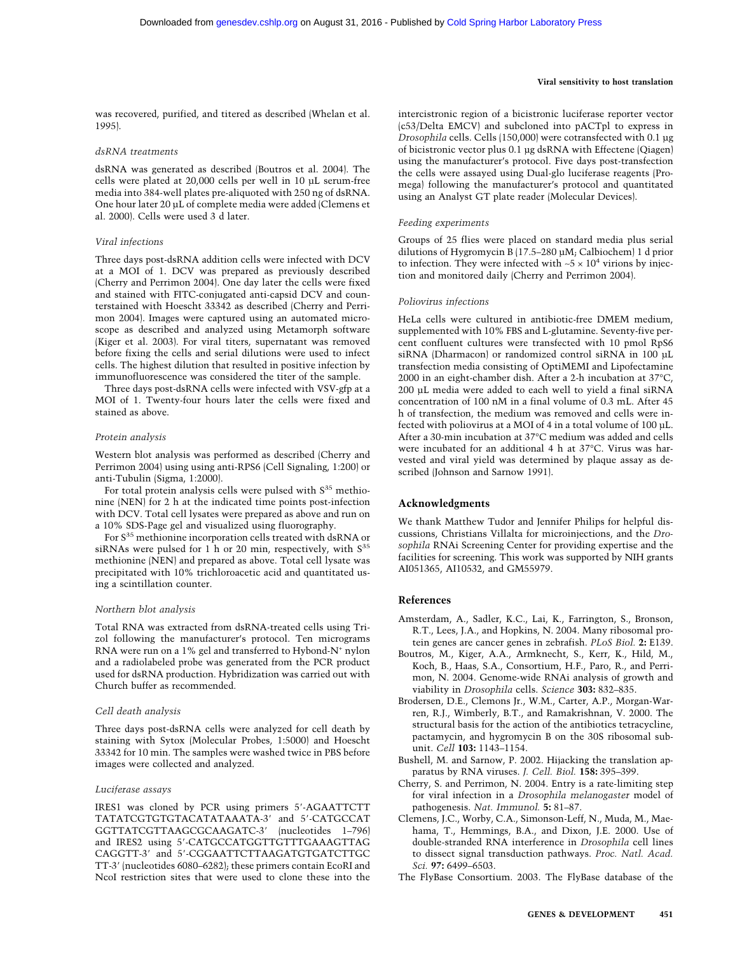#### **Viral sensitivity to host translation**

was recovered, purified, and titered as described (Whelan et al. 1995).

#### *dsRNA treatments*

dsRNA was generated as described (Boutros et al. 2004). The cells were plated at 20,000 cells per well in 10 µL serum-free media into 384-well plates pre-aliquoted with 250 ng of dsRNA. One hour later 20 µL of complete media were added (Clemens et al. 2000). Cells were used 3 d later.

#### *Viral infections*

Three days post-dsRNA addition cells were infected with DCV at a MOI of 1. DCV was prepared as previously described (Cherry and Perrimon 2004). One day later the cells were fixed and stained with FITC-conjugated anti-capsid DCV and counterstained with Hoescht 33342 as described (Cherry and Perrimon 2004). Images were captured using an automated microscope as described and analyzed using Metamorph software (Kiger et al. 2003). For viral titers, supernatant was removed before fixing the cells and serial dilutions were used to infect cells. The highest dilution that resulted in positive infection by immunofluorescence was considered the titer of the sample.

Three days post-dsRNA cells were infected with VSV-gfp at a MOI of 1. Twenty-four hours later the cells were fixed and stained as above.

#### *Protein analysis*

Western blot analysis was performed as described (Cherry and Perrimon 2004) using using anti-RPS6 (Cell Signaling, 1:200) or anti-Tubulin (Sigma, 1:2000).

For total protein analysis cells were pulsed with  $S^{35}$  methionine (NEN) for 2 h at the indicated time points post-infection with DCV. Total cell lysates were prepared as above and run on a 10% SDS-Page gel and visualized using fluorography.

For S<sup>35</sup> methionine incorporation cells treated with dsRNA or siRNAs were pulsed for 1 h or 20 min, respectively, with  $S^{35}$ methionine (NEN) and prepared as above. Total cell lysate was precipitated with 10% trichloroacetic acid and quantitated using a scintillation counter.

#### *Northern blot analysis*

Total RNA was extracted from dsRNA-treated cells using Trizol following the manufacturer's protocol. Ten micrograms RNA were run on a 1% gel and transferred to Hybond-N+ nylon and a radiolabeled probe was generated from the PCR product used for dsRNA production. Hybridization was carried out with Church buffer as recommended.

#### *Cell death analysis*

Three days post-dsRNA cells were analyzed for cell death by staining with Sytox (Molecular Probes, 1:5000) and Hoescht 33342 for 10 min. The samples were washed twice in PBS before images were collected and analyzed.

#### *Luciferase assays*

IRES1 was cloned by PCR using primers 5-AGAATTCTT TATATCGTGTGTACATATAAATA-3' and 5'-CATGCCAT GGTTATCGTTAAGCGCAAGATC-3 (nucleotides 1–796) and IRES2 using 5'-CATGCCATGGTTGTTTGAAAGTTAG CAGGTT-3' and 5'-CGGAATTCTTAAGATGTGATCTTGC TT-3 (nucleotides 6080–6282); these primers contain EcoRI and NcoI restriction sites that were used to clone these into the intercistronic region of a bicistronic luciferase reporter vector (c53/Delta EMCV) and subcloned into pACTpl to express in *Drosophila* cells. Cells (150,000) were cotransfected with 0.1 µg of bicistronic vector plus 0.1 µg dsRNA with Effectene (Qiagen) using the manufacturer's protocol. Five days post-transfection the cells were assayed using Dual-glo luciferase reagents (Promega) following the manufacturer's protocol and quantitated using an Analyst GT plate reader (Molecular Devices).

#### *Feeding experiments*

Groups of 25 flies were placed on standard media plus serial dilutions of Hygromycin B (17.5–280 µM; Calbiochem) 1 d prior to infection. They were infected with ∼5 ×  $10<sup>4</sup>$  virions by injection and monitored daily (Cherry and Perrimon 2004).

#### *Poliovirus infections*

HeLa cells were cultured in antibiotic-free DMEM medium, supplemented with 10% FBS and L-glutamine. Seventy-five percent confluent cultures were transfected with 10 pmol RpS6 siRNA (Dharmacon) or randomized control siRNA in 100 µL transfection media consisting of OptiMEMI and Lipofectamine 2000 in an eight-chamber dish. After a 2-h incubation at 37°C, 200 µL media were added to each well to yield a final siRNA concentration of 100 nM in a final volume of 0.3 mL. After 45 h of transfection, the medium was removed and cells were infected with poliovirus at a MOI of 4 in a total volume of 100 µL. After a 30-min incubation at 37°C medium was added and cells were incubated for an additional 4 h at 37°C. Virus was harvested and viral yield was determined by plaque assay as described (Johnson and Sarnow 1991).

#### **Acknowledgments**

We thank Matthew Tudor and Jennifer Philips for helpful discussions, Christians Villalta for microinjections, and the *Drosophila* RNAi Screening Center for providing expertise and the facilities for screening. This work was supported by NIH grants AI051365, AI10532, and GM55979.

#### **References**

- Amsterdam, A., Sadler, K.C., Lai, K., Farrington, S., Bronson, R.T., Lees, J.A., and Hopkins, N. 2004. Many ribosomal protein genes are cancer genes in zebrafish. *PLoS Biol.* **2:** E139.
- Boutros, M., Kiger, A.A., Armknecht, S., Kerr, K., Hild, M., Koch, B., Haas, S.A., Consortium, H.F., Paro, R., and Perrimon, N. 2004. Genome-wide RNAi analysis of growth and viability in *Drosophila* cells. *Science* **303:** 832–835.
- Brodersen, D.E., Clemons Jr., W.M., Carter, A.P., Morgan-Warren, R.J., Wimberly, B.T., and Ramakrishnan, V. 2000. The structural basis for the action of the antibiotics tetracycline, pactamycin, and hygromycin B on the 30S ribosomal subunit. *Cell* **103:** 1143–1154.
- Bushell, M. and Sarnow, P. 2002. Hijacking the translation apparatus by RNA viruses. *J. Cell. Biol.* **158:** 395–399.
- Cherry, S. and Perrimon, N. 2004. Entry is a rate-limiting step for viral infection in a *Drosophila melanogaster* model of pathogenesis. *Nat. Immunol.* **5:** 81–87.
- Clemens, J.C., Worby, C.A., Simonson-Leff, N., Muda, M., Maehama, T., Hemmings, B.A., and Dixon, J.E. 2000. Use of double-stranded RNA interference in *Drosophila* cell lines to dissect signal transduction pathways. *Proc. Natl. Acad. Sci.* **97:** 6499–6503.
- The FlyBase Consortium. 2003. The FlyBase database of the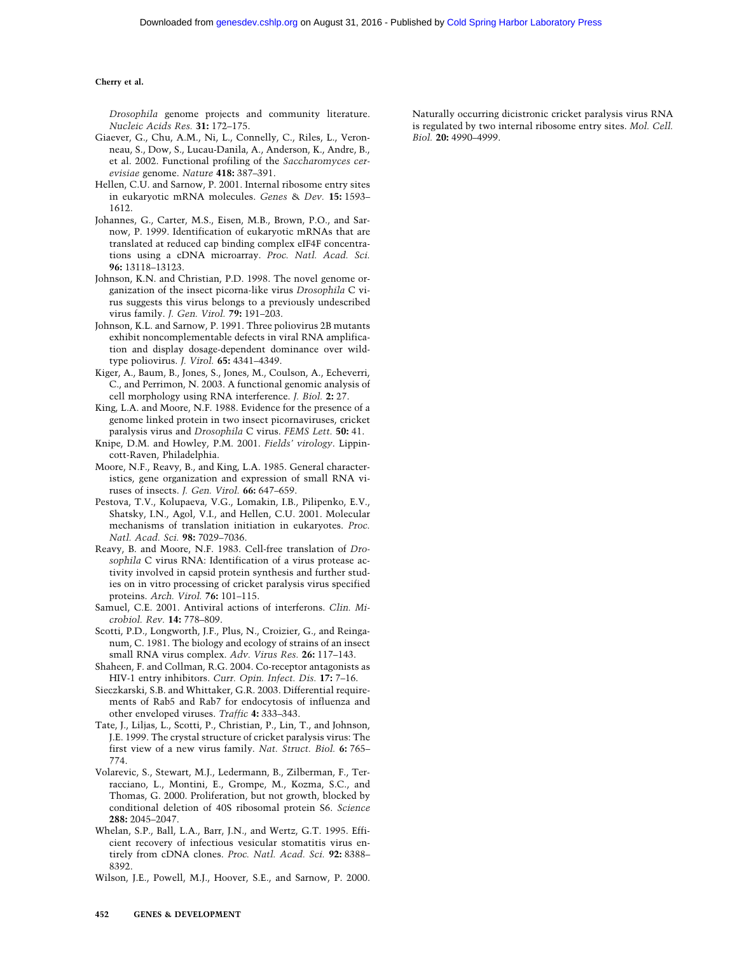*Drosophila* genome projects and community literature. *Nucleic Acids Res.* **31:** 172–175.

- Giaever, G., Chu, A.M., Ni, L., Connelly, C., Riles, L., Veronneau, S., Dow, S., Lucau-Danila, A., Anderson, K., Andre, B., et al. 2002. Functional profiling of the *Saccharomyces cerevisiae* genome. *Nature* **418:** 387–391.
- Hellen, C.U. and Sarnow, P. 2001. Internal ribosome entry sites in eukaryotic mRNA molecules. *Genes* & *Dev.* **15:** 1593– 1612.
- Johannes, G., Carter, M.S., Eisen, M.B., Brown, P.O., and Sarnow, P. 1999. Identification of eukaryotic mRNAs that are translated at reduced cap binding complex eIF4F concentrations using a cDNA microarray. *Proc. Natl. Acad. Sci.* **96:** 13118–13123.
- Johnson, K.N. and Christian, P.D. 1998. The novel genome organization of the insect picorna-like virus *Drosophila* C virus suggests this virus belongs to a previously undescribed virus family. *J. Gen. Virol.* **79:** 191–203.
- Johnson, K.L. and Sarnow, P. 1991. Three poliovirus 2B mutants exhibit noncomplementable defects in viral RNA amplification and display dosage-dependent dominance over wildtype poliovirus. *J. Virol.* **65:** 4341–4349.
- Kiger, A., Baum, B., Jones, S., Jones, M., Coulson, A., Echeverri, C., and Perrimon, N. 2003. A functional genomic analysis of cell morphology using RNA interference. *J. Biol.* **2:** 27.
- King, L.A. and Moore, N.F. 1988. Evidence for the presence of a genome linked protein in two insect picornaviruses, cricket paralysis virus and *Drosophila* C virus. *FEMS Lett.* **50:** 41.
- Knipe, D.M. and Howley, P.M. 2001. *Fields' virology*. Lippincott-Raven, Philadelphia.
- Moore, N.F., Reavy, B., and King, L.A. 1985. General characteristics, gene organization and expression of small RNA viruses of insects. *J. Gen. Virol.* **66:** 647–659.
- Pestova, T.V., Kolupaeva, V.G., Lomakin, I.B., Pilipenko, E.V., Shatsky, I.N., Agol, V.I., and Hellen, C.U. 2001. Molecular mechanisms of translation initiation in eukaryotes. *Proc. Natl. Acad. Sci.* **98:** 7029–7036.
- Reavy, B. and Moore, N.F. 1983. Cell-free translation of *Drosophila* C virus RNA: Identification of a virus protease activity involved in capsid protein synthesis and further studies on in vitro processing of cricket paralysis virus specified proteins. *Arch. Virol.* **76:** 101–115.
- Samuel, C.E. 2001. Antiviral actions of interferons. *Clin. Microbiol. Rev.* **14:** 778–809.
- Scotti, P.D., Longworth, J.F., Plus, N., Croizier, G., and Reinganum, C. 1981. The biology and ecology of strains of an insect small RNA virus complex. *Adv. Virus Res.* **26:** 117–143.
- Shaheen, F. and Collman, R.G. 2004. Co-receptor antagonists as HIV-1 entry inhibitors. *Curr. Opin. Infect. Dis.* **17:** 7–16.
- Sieczkarski, S.B. and Whittaker, G.R. 2003. Differential requirements of Rab5 and Rab7 for endocytosis of influenza and other enveloped viruses. *Traffic* **4:** 333–343.
- Tate, J., Liljas, L., Scotti, P., Christian, P., Lin, T., and Johnson, J.E. 1999. The crystal structure of cricket paralysis virus: The first view of a new virus family. *Nat. Struct. Biol.* **6:** 765– 774.
- Volarevic, S., Stewart, M.J., Ledermann, B., Zilberman, F., Terracciano, L., Montini, E., Grompe, M., Kozma, S.C., and Thomas, G. 2000. Proliferation, but not growth, blocked by conditional deletion of 40S ribosomal protein S6. *Science* **288:** 2045–2047.
- Whelan, S.P., Ball, L.A., Barr, J.N., and Wertz, G.T. 1995. Efficient recovery of infectious vesicular stomatitis virus entirely from cDNA clones. *Proc. Natl. Acad. Sci.* **92:** 8388– 8392.

Wilson, J.E., Powell, M.J., Hoover, S.E., and Sarnow, P. 2000.

Naturally occurring dicistronic cricket paralysis virus RNA is regulated by two internal ribosome entry sites. *Mol. Cell. Biol.* **20:** 4990–4999.